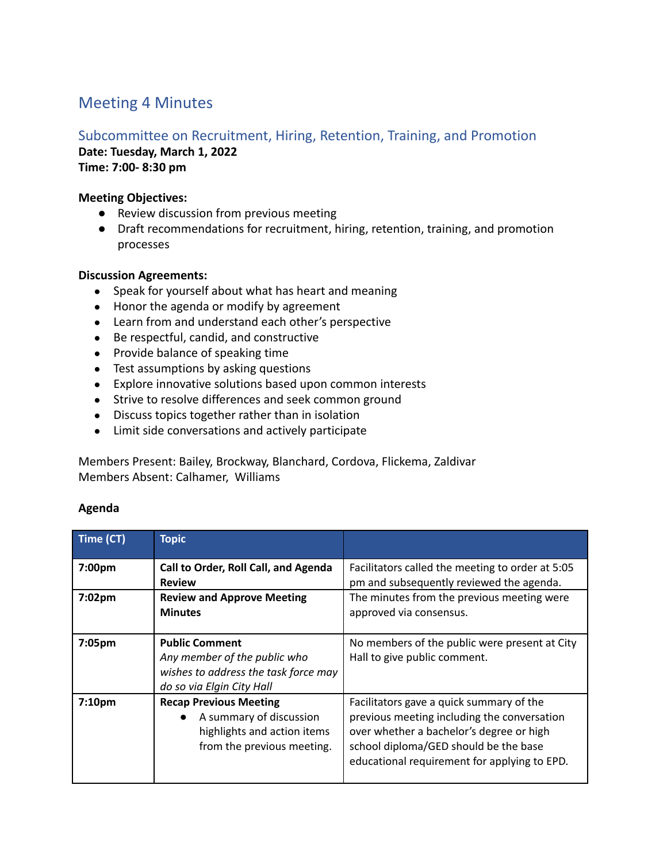# Meeting 4 Minutes

## Subcommittee on Recruitment, Hiring, Retention, Training, and Promotion

**Date: Tuesday, March 1, 2022 Time: 7:00- 8:30 pm**

### **Meeting Objectives:**

- Review discussion from previous meeting
- Draft recommendations for recruitment, hiring, retention, training, and promotion processes

### **Discussion Agreements:**

- Speak for yourself about what has heart and meaning
- Honor the agenda or modify by agreement
- Learn from and understand each other's perspective
- Be respectful, candid, and constructive
- Provide balance of speaking time
- Test assumptions by asking questions
- Explore innovative solutions based upon common interests
- Strive to resolve differences and seek common ground
- Discuss topics together rather than in isolation
- Limit side conversations and actively participate

Members Present: Bailey, Brockway, Blanchard, Cordova, Flickema, Zaldivar Members Absent: Calhamer, Williams

### **Agenda**

| Time (CT)          | <b>Topic</b>                                                                                                                       |                                                                                                                                                                                                                              |
|--------------------|------------------------------------------------------------------------------------------------------------------------------------|------------------------------------------------------------------------------------------------------------------------------------------------------------------------------------------------------------------------------|
| 7:00 <sub>pm</sub> | Call to Order, Roll Call, and Agenda<br><b>Review</b>                                                                              | Facilitators called the meeting to order at 5:05<br>pm and subsequently reviewed the agenda.                                                                                                                                 |
| 7:02pm             | <b>Review and Approve Meeting</b><br><b>Minutes</b>                                                                                | The minutes from the previous meeting were<br>approved via consensus.                                                                                                                                                        |
| 7:05pm             | <b>Public Comment</b><br>Any member of the public who<br>wishes to address the task force may<br>do so via Elgin City Hall         | No members of the public were present at City<br>Hall to give public comment.                                                                                                                                                |
| 7:10pm             | <b>Recap Previous Meeting</b><br>A summary of discussion<br>$\bullet$<br>highlights and action items<br>from the previous meeting. | Facilitators gave a quick summary of the<br>previous meeting including the conversation<br>over whether a bachelor's degree or high<br>school diploma/GED should be the base<br>educational requirement for applying to EPD. |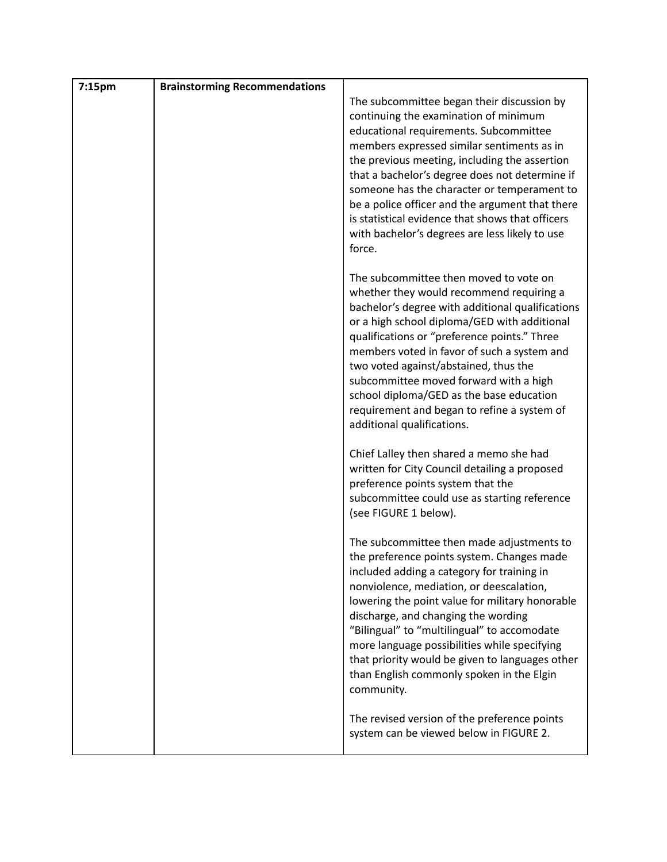| 7:15pm | <b>Brainstorming Recommendations</b> |                                                                                                                                                                                                                                                                                                                                                                                                                                                                                                   |
|--------|--------------------------------------|---------------------------------------------------------------------------------------------------------------------------------------------------------------------------------------------------------------------------------------------------------------------------------------------------------------------------------------------------------------------------------------------------------------------------------------------------------------------------------------------------|
|        |                                      | The subcommittee began their discussion by<br>continuing the examination of minimum<br>educational requirements. Subcommittee<br>members expressed similar sentiments as in<br>the previous meeting, including the assertion<br>that a bachelor's degree does not determine if<br>someone has the character or temperament to<br>be a police officer and the argument that there<br>is statistical evidence that shows that officers<br>with bachelor's degrees are less likely to use<br>force.  |
|        |                                      | The subcommittee then moved to vote on<br>whether they would recommend requiring a<br>bachelor's degree with additional qualifications<br>or a high school diploma/GED with additional<br>qualifications or "preference points." Three<br>members voted in favor of such a system and<br>two voted against/abstained, thus the<br>subcommittee moved forward with a high<br>school diploma/GED as the base education<br>requirement and began to refine a system of<br>additional qualifications. |
|        |                                      | Chief Lalley then shared a memo she had<br>written for City Council detailing a proposed<br>preference points system that the<br>subcommittee could use as starting reference<br>(see FIGURE 1 below).                                                                                                                                                                                                                                                                                            |
|        |                                      | The subcommittee then made adjustments to<br>the preference points system. Changes made<br>included adding a category for training in<br>nonviolence, mediation, or deescalation,<br>lowering the point value for military honorable<br>discharge, and changing the wording<br>"Bilingual" to "multilingual" to accomodate<br>more language possibilities while specifying<br>that priority would be given to languages other<br>than English commonly spoken in the Elgin<br>community.          |
|        |                                      | The revised version of the preference points<br>system can be viewed below in FIGURE 2.                                                                                                                                                                                                                                                                                                                                                                                                           |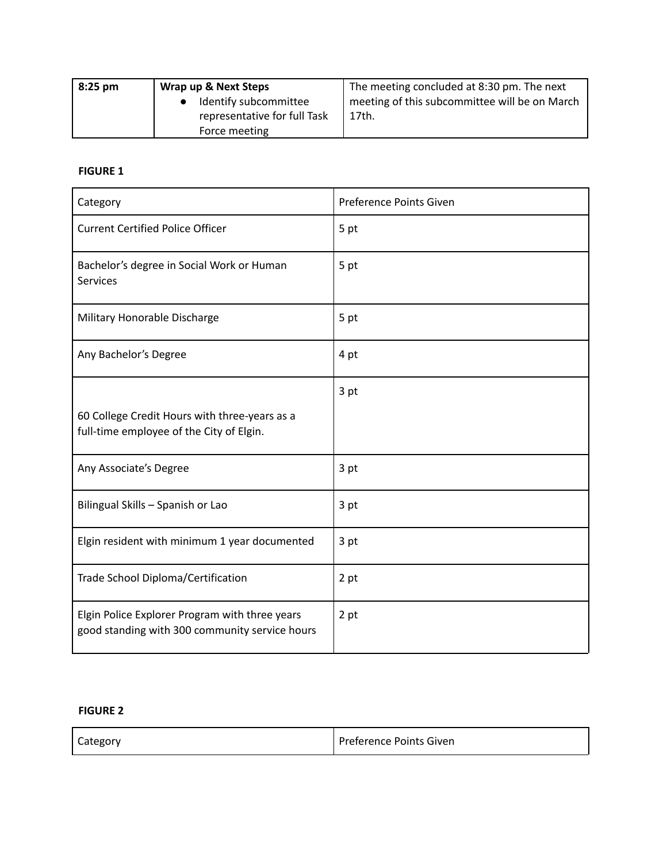| $8:25 \text{ pm}$ | Wrap up & Next Steps         | The meeting concluded at 8:30 pm. The next    |
|-------------------|------------------------------|-----------------------------------------------|
|                   | Identify subcommittee        | meeting of this subcommittee will be on March |
|                   | representative for full Task | 17th.                                         |
|                   | Force meeting                |                                               |

#### **FIGURE 1**

| Category                                                                                         | Preference Points Given |
|--------------------------------------------------------------------------------------------------|-------------------------|
| <b>Current Certified Police Officer</b>                                                          | 5 pt                    |
| Bachelor's degree in Social Work or Human<br><b>Services</b>                                     | 5 pt                    |
| Military Honorable Discharge                                                                     | 5 pt                    |
| Any Bachelor's Degree                                                                            | 4 pt                    |
|                                                                                                  | 3 pt                    |
| 60 College Credit Hours with three-years as a<br>full-time employee of the City of Elgin.        |                         |
| Any Associate's Degree                                                                           | 3 pt                    |
| Bilingual Skills - Spanish or Lao                                                                | 3 pt                    |
| Elgin resident with minimum 1 year documented                                                    | 3 pt                    |
| Trade School Diploma/Certification                                                               | 2 pt                    |
| Elgin Police Explorer Program with three years<br>good standing with 300 community service hours | 2 pt                    |

#### **FIGURE 2**

| Category | Preference Points Given |
|----------|-------------------------|
|----------|-------------------------|